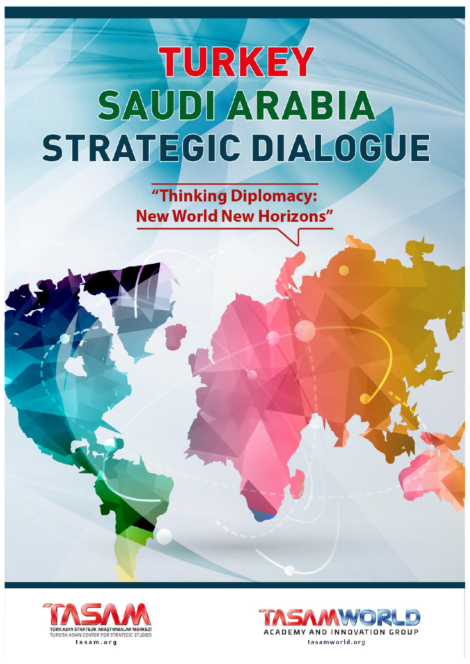"Thinking Diplomacy: **New World New Horizons"** 



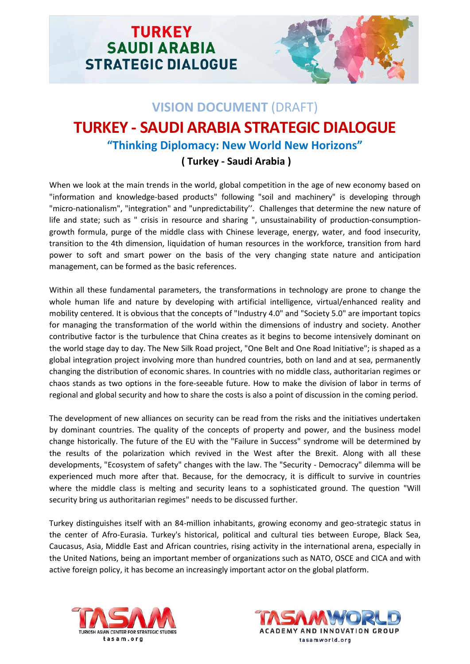

# **VISION DOCUMENT** (DRAFT) **TURKEY - SAUDI ARABIA STRATEGIC DIALOGUE "Thinking Diplomacy: New World New Horizons"**

## **( Turkey - Saudi Arabia )**

When we look at the main trends in the world, global competition in the age of new economy based on "information and knowledge-based products" following "soil and machinery" is developing through "micro-nationalism", "integration" and "unpredictability''. Challenges that determine the new nature of life and state; such as " crisis in resource and sharing ", unsustainability of production-consumptiongrowth formula, purge of the middle class with Chinese leverage, energy, water, and food insecurity, transition to the 4th dimension, liquidation of human resources in the workforce, transition from hard power to soft and smart power on the basis of the very changing state nature and anticipation management, can be formed as the basic references.

Within all these fundamental parameters, the transformations in technology are prone to change the whole human life and nature by developing with artificial intelligence, virtual/enhanced reality and mobility centered. It is obvious that the concepts of "Industry 4.0" and "Society 5.0" are important topics for managing the transformation of the world within the dimensions of industry and society. Another contributive factor is the turbulence that China creates as it begins to become intensively dominant on the world stage day to day. The New Silk Road project, "One Belt and One Road Initiative"; is shaped as a global integration project involving more than hundred countries, both on land and at sea, permanently changing the distribution of economic shares. In countries with no middle class, authoritarian regimes or chaos stands as two options in the fore-seeable future. How to make the division of labor in terms of regional and global security and how to share the costs is also a point of discussion in the coming period.

The development of new alliances on security can be read from the risks and the initiatives undertaken by dominant countries. The quality of the concepts of property and power, and the business model change historically. The future of the EU with the "Failure in Success" syndrome will be determined by the results of the polarization which revived in the West after the Brexit. Along with all these developments, "Ecosystem of safety" changes with the law. The "Security - Democracy" dilemma will be experienced much more after that. Because, for the democracy, it is difficult to survive in countries where the middle class is melting and security leans to a sophisticated ground. The question "Will security bring us authoritarian regimes" needs to be discussed further.

Turkey distinguishes itself with an 84-million inhabitants, growing economy and geo-strategic status in the center of Afro-Eurasia. Turkey's historical, political and cultural ties between Europe, Black Sea, Caucasus, Asia, Middle East and African countries, rising activity in the international arena, especially in the United Nations, being an important member of organizations such as NATO, OSCE and CICA and with active foreign policy, it has become an increasingly important actor on the global platform.



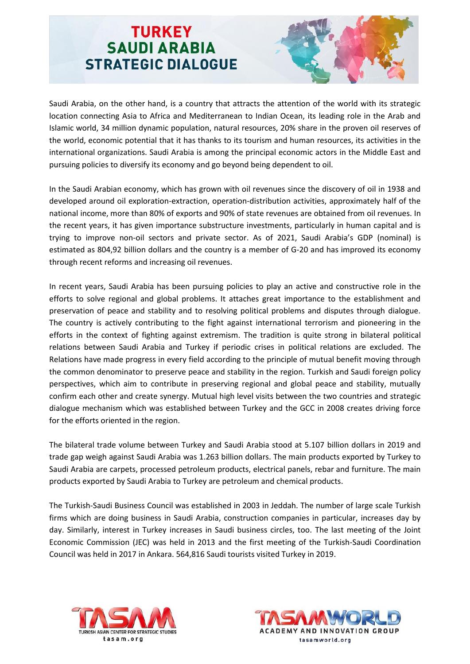

Saudi Arabia, on the other hand, is a country that attracts the attention of the world with its strategic location connecting Asia to Africa and Mediterranean to Indian Ocean, its leading role in the Arab and Islamic world, 34 million dynamic population, natural resources, 20% share in the proven oil reserves of the world, economic potential that it has thanks to its tourism and human resources, its activities in the international organizations. Saudi Arabia is among the principal economic actors in the Middle East and pursuing policies to diversify its economy and go beyond being dependent to oil.

In the Saudi Arabian economy, which has grown with oil revenues since the discovery of oil in 1938 and developed around oil exploration-extraction, operation-distribution activities, approximately half of the national income, more than 80% of exports and 90% of state revenues are obtained from oil revenues. In the recent years, it has given importance substructure investments, particularly in human capital and is trying to improve non-oil sectors and private sector. As of 2021, Saudi Arabia's GDP (nominal) is estimated as 804,92 billion dollars and the country is a member of G-20 and has improved its economy through recent reforms and increasing oil revenues.

In recent years, Saudi Arabia has been pursuing policies to play an active and constructive role in the efforts to solve regional and global problems. It attaches great importance to the establishment and preservation of peace and stability and to resolving political problems and disputes through dialogue. The country is actively contributing to the fight against international terrorism and pioneering in the efforts in the context of fighting against extremism. The tradition is quite strong in bilateral political relations between Saudi Arabia and Turkey if periodic crises in political relations are excluded. The Relations have made progress in every field according to the principle of mutual benefit moving through the common denominator to preserve peace and stability in the region. Turkish and Saudi foreign policy perspectives, which aim to contribute in preserving regional and global peace and stability, mutually confirm each other and create synergy. Mutual high level visits between the two countries and strategic dialogue mechanism which was established between Turkey and the GCC in 2008 creates driving force for the efforts oriented in the region.

The bilateral trade volume between Turkey and Saudi Arabia stood at 5.107 billion dollars in 2019 and trade gap weigh against Saudi Arabia was 1.263 billion dollars. The main products exported by Turkey to Saudi Arabia are carpets, processed petroleum products, electrical panels, rebar and furniture. The main products exported by Saudi Arabia to Turkey are petroleum and chemical products.

The Turkish-Saudi Business Council was established in 2003 in Jeddah. The number of large scale Turkish firms which are doing business in Saudi Arabia, construction companies in particular, increases day by day. Similarly, interest in Turkey increases in Saudi business circles, too. The last meeting of the Joint Economic Commission (JEC) was held in 2013 and the first meeting of the Turkish-Saudi Coordination Council was held in 2017 in Ankara. 564,816 Saudi tourists visited Turkey in 2019.



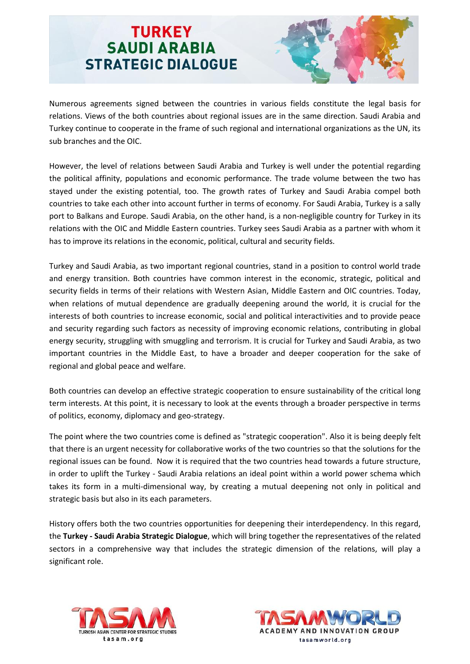

Numerous agreements signed between the countries in various fields constitute the legal basis for relations. Views of the both countries about regional issues are in the same direction. Saudi Arabia and Turkey continue to cooperate in the frame of such regional and international organizations as the UN, its sub branches and the OIC.

However, the level of relations between Saudi Arabia and Turkey is well under the potential regarding the political affinity, populations and economic performance. The trade volume between the two has stayed under the existing potential, too. The growth rates of Turkey and Saudi Arabia compel both countries to take each other into account further in terms of economy. For Saudi Arabia, Turkey is a sally port to Balkans and Europe. Saudi Arabia, on the other hand, is a non-negligible country for Turkey in its relations with the OIC and Middle Eastern countries. Turkey sees Saudi Arabia as a partner with whom it has to improve its relations in the economic, political, cultural and security fields.

Turkey and Saudi Arabia, as two important regional countries, stand in a position to control world trade and energy transition. Both countries have common interest in the economic, strategic, political and security fields in terms of their relations with Western Asian, Middle Eastern and OIC countries. Today, when relations of mutual dependence are gradually deepening around the world, it is crucial for the interests of both countries to increase economic, social and political interactivities and to provide peace and security regarding such factors as necessity of improving economic relations, contributing in global energy security, struggling with smuggling and terrorism. It is crucial for Turkey and Saudi Arabia, as two important countries in the Middle East, to have a broader and deeper cooperation for the sake of regional and global peace and welfare.

Both countries can develop an effective strategic cooperation to ensure sustainability of the critical long term interests. At this point, it is necessary to look at the events through a broader perspective in terms of politics, economy, diplomacy and geo-strategy.

The point where the two countries come is defined as "strategic cooperation". Also it is being deeply felt that there is an urgent necessity for collaborative works of the two countries so that the solutions for the regional issues can be found. Now it is required that the two countries head towards a future structure, in order to uplift the Turkey - Saudi Arabia relations an ideal point within a world power schema which takes its form in a multi-dimensional way, by creating a mutual deepening not only in political and strategic basis but also in its each parameters.

History offers both the two countries opportunities for deepening their interdependency. In this regard, the **Turkey - Saudi Arabia Strategic Dialogue**, which will bring together the representatives of the related sectors in a comprehensive way that includes the strategic dimension of the relations, will play a significant role.



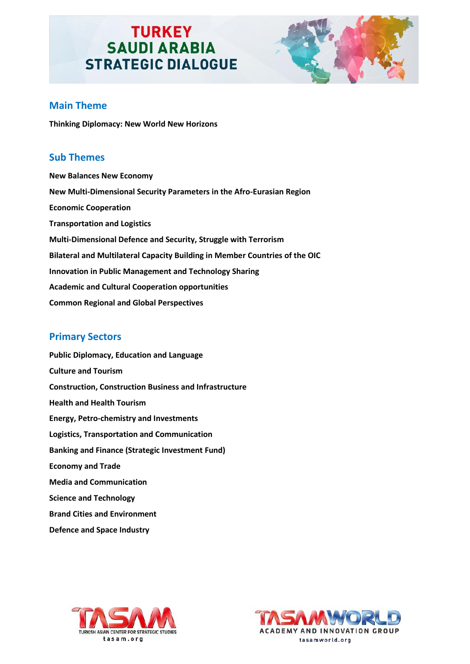

### **Main Theme**

**Thinking Diplomacy: New World New Horizons**

#### **Sub Themes**

**New Balances New Economy New Multi-Dimensional Security Parameters in the Afro-Eurasian Region Economic Cooperation Transportation and Logistics Multi-Dimensional Defence and Security, Struggle with Terrorism Bilateral and Multilateral Capacity Building in Member Countries of the OIC Innovation in Public Management and Technology Sharing Academic and Cultural Cooperation opportunities Common Regional and Global Perspectives**

### **Primary Sectors**

**Public Diplomacy, Education and Language Culture and Tourism Construction, Construction Business and Infrastructure Health and Health Tourism Energy, Petro-chemistry and Investments Logistics, Transportation and Communication Banking and Finance (Strategic Investment Fund) Economy and Trade Media and Communication Science and Technology Brand Cities and Environment Defence and Space Industry**